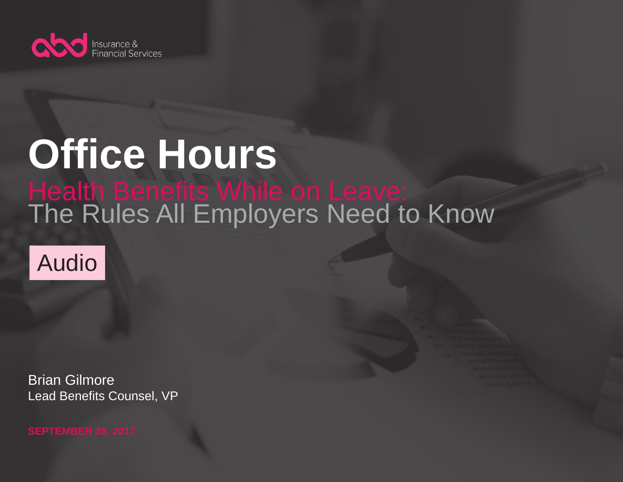

## **Office Hours Health Benefits While on Leave:** The Rules All Employers Need to Know



Brian Gilmore Lead Benefits Counsel, VP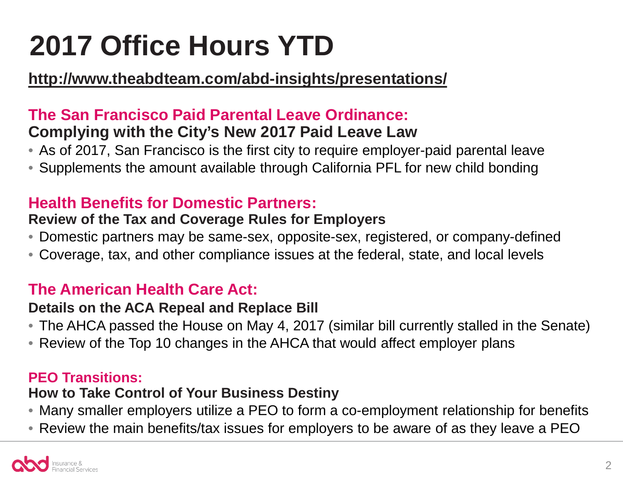## **2017 Office Hours YTD**

### **<http://www.theabdteam.com/abd-insights/presentations/>**

### **The San Francisco Paid Parental Leave Ordinance: Complying with the City's New 2017 Paid Leave Law**

- As of 2017, San Francisco is the first city to require employer-paid parental leave
- Supplements the amount available through California PFL for new child bonding

### **Health Benefits for Domestic Partners:**

### **Review of the Tax and Coverage Rules for Employers**

- Domestic partners may be same-sex, opposite-sex, registered, or company-defined
- Coverage, tax, and other compliance issues at the federal, state, and local levels

### **The American Health Care Act:**

### **Details on the ACA Repeal and Replace Bill**

- The AHCA passed the House on May 4, 2017 (similar bill currently stalled in the Senate)
- Review of the Top 10 changes in the AHCA that would affect employer plans

### **PEO Transitions:**

### **How to Take Control of Your Business Destiny**

- Many smaller employers utilize a PEO to form a co-employment relationship for benefits
- Review the main benefits/tax issues for employers to be aware of as they leave a PEO

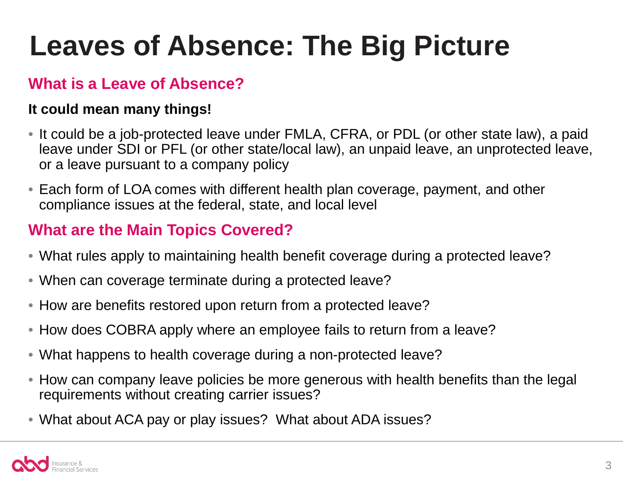## **Leaves of Absence: The Big Picture**

### **What is a Leave of Absence?**

### **It could mean many things!**

- It could be a job-protected leave under FMLA, CFRA, or PDL (or other state law), a paid leave under SDI or PFL (or other state/local law), an unpaid leave, an unprotected leave, or a leave pursuant to a company policy
- Each form of LOA comes with different health plan coverage, payment, and other compliance issues at the federal, state, and local level

### **What are the Main Topics Covered?**

- What rules apply to maintaining health benefit coverage during a protected leave?
- When can coverage terminate during a protected leave?
- How are benefits restored upon return from a protected leave?
- How does COBRA apply where an employee fails to return from a leave?
- What happens to health coverage during a non-protected leave?
- How can company leave policies be more generous with health benefits than the legal requirements without creating carrier issues?
- What about ACA pay or play issues? What about ADA issues?

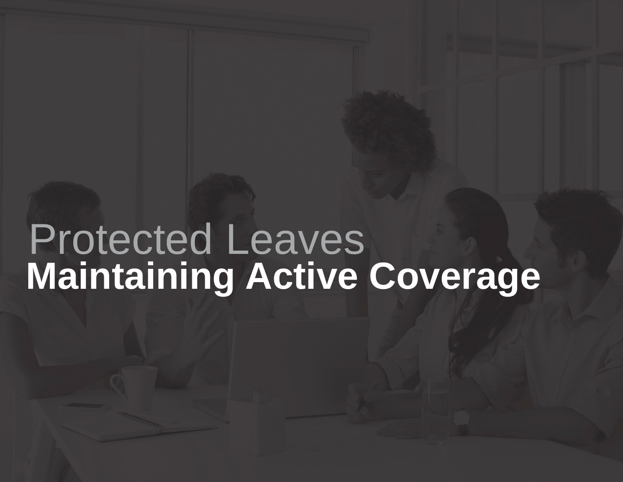## **Maintaining Active Coverage** Protected Leaves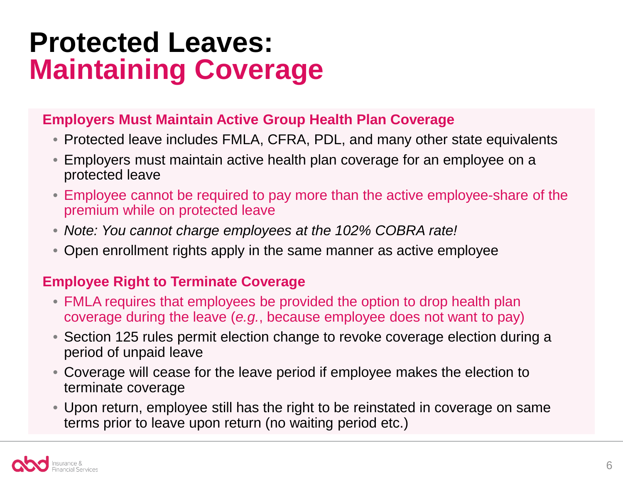### **Protected Leaves: Maintaining Coverage**

### **Employers Must Maintain Active Group Health Plan Coverage**

- Protected leave includes FMLA, CFRA, PDL, and many other state equivalents
- Employers must maintain active health plan coverage for an employee on a protected leave
- Employee cannot be required to pay more than the active employee-share of the premium while on protected leave
- *Note: You cannot charge employees at the 102% COBRA rate!*
- Open enrollment rights apply in the same manner as active employee

### **Employee Right to Terminate Coverage**

- FMLA requires that employees be provided the option to drop health plan coverage during the leave (*e.g.*, because employee does not want to pay)
- Section 125 rules permit election change to revoke coverage election during a period of unpaid leave
- Coverage will cease for the leave period if employee makes the election to terminate coverage
- Upon return, employee still has the right to be reinstated in coverage on same terms prior to leave upon return (no waiting period etc.)

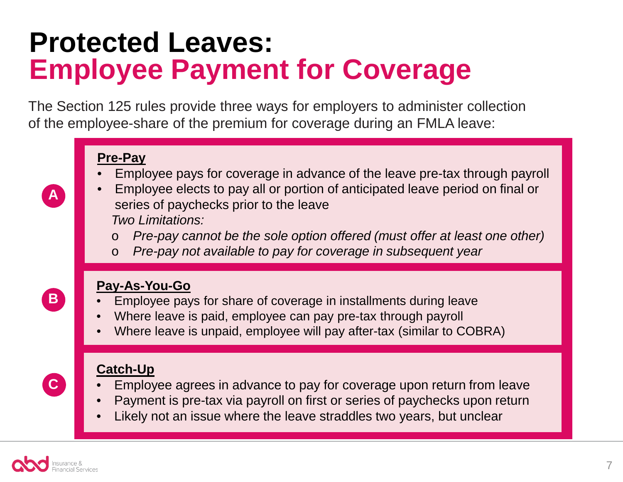## **Protected Leaves: Employee Payment for Coverage**

The Section 125 rules provide three ways for employers to administer collection of the employee-share of the premium for coverage during an FMLA leave:

### **Pre-Pay**

- Employee pays for coverage in advance of the leave pre-tax through payroll
- Employee elects to pay all or portion of anticipated leave period on final or series of paychecks prior to the leave *Two Limitations:*
	- o *Pre-pay cannot be the sole option offered (must offer at least one other)*
	- o *Pre-pay not available to pay for coverage in subsequent year*



**A**

### **Pay-As-You-Go**

- Employee pays for share of coverage in installments during leave
- Where leave is paid, employee can pay pre-tax through payroll
- Where leave is unpaid, employee will pay after-tax (similar to COBRA)



### **Catch-Up**

- Employee agrees in advance to pay for coverage upon return from leave
- Payment is pre-tax via payroll on first or series of paychecks upon return
- Likely not an issue where the leave straddles two years, but unclear

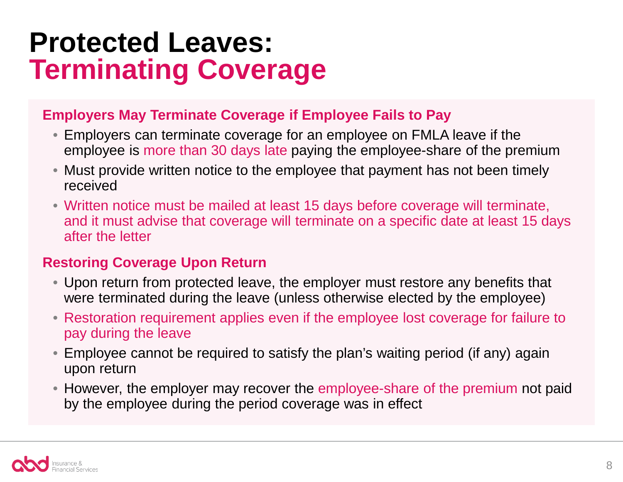### **Protected Leaves: Terminating Coverage**

### **Employers May Terminate Coverage if Employee Fails to Pay**

- Employers can terminate coverage for an employee on FMLA leave if the employee is more than 30 days late paying the employee-share of the premium
- Must provide written notice to the employee that payment has not been timely received
- Written notice must be mailed at least 15 days before coverage will terminate, and it must advise that coverage will terminate on a specific date at least 15 days after the letter

### **Restoring Coverage Upon Return**

- Upon return from protected leave, the employer must restore any benefits that were terminated during the leave (unless otherwise elected by the employee)
- Restoration requirement applies even if the employee lost coverage for failure to pay during the leave
- Employee cannot be required to satisfy the plan's waiting period (if any) again upon return
- However, the employer may recover the employee-share of the premium not paid by the employee during the period coverage was in effect

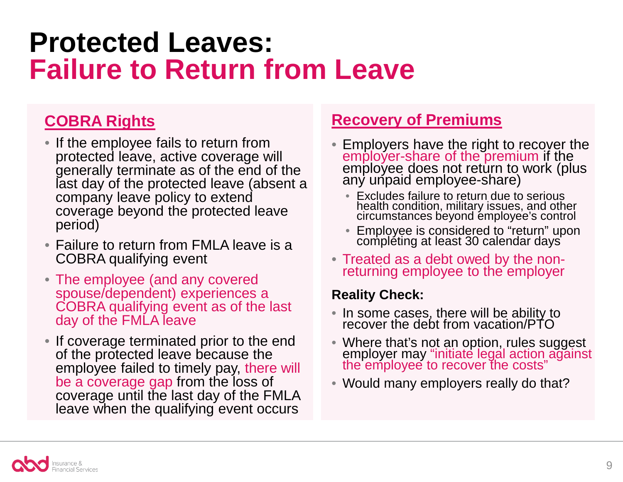### **Protected Leaves: Failure to Return from Leave**

### **COBRA Rights**

- If the employee fails to return from protected leave, active coverage will generally terminate as of the end of the last day of the protected leave (absent a company leave policy to extend coverage beyond the protected leave period)
- Failure to return from FMLA leave is a COBRA qualifying event
- The employee (and any covered spouse/dependent) experiences a COBRA qualifying event as of the last day of the FMLA leave
- If coverage terminated prior to the end of the protected leave because the employee failed to timely pay, there will be a coverage gap from the loss of coverage until the last day of the FMLA leave when the qualifying event occurs

### **Recovery of Premiums**

- Employers have the right to recover the employer-share of the premium if the employee does not return to work (plus any unpaid employee-share)
	- Excludes failure to return due to serious health condition, military issues, and other circumstances beyond employee's control
	- Employee is considered to "return" upon compléting at least 30 calendar days
- Treated as a debt owed by the non- returning employee to the employer

### **Reality Check:**

- In some cases, there will be ability to recover the debt from vacation/PTO
- Where that's not an option, rules suggest employer may "initiate legal action against<br>the employee to recover the costs"
- Would many employers really do that?

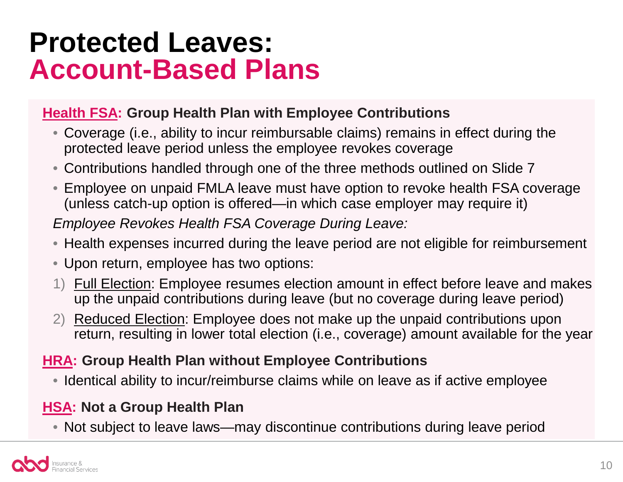### **Protected Leaves: Account-Based Plans**

### **Health FSA: Group Health Plan with Employee Contributions**

- Coverage (i.e., ability to incur reimbursable claims) remains in effect during the protected leave period unless the employee revokes coverage
- Contributions handled through one of the three methods outlined on Slide 7
- Employee on unpaid FMLA leave must have option to revoke health FSA coverage (unless catch-up option is offered—in which case employer may require it)

*Employee Revokes Health FSA Coverage During Leave:*

- Health expenses incurred during the leave period are not eligible for reimbursement
- Upon return, employee has two options:
- 1) Full Election: Employee resumes election amount in effect before leave and makes up the unpaid contributions during leave (but no coverage during leave period)
- 2) Reduced Election: Employee does not make up the unpaid contributions upon return, resulting in lower total election (i.e., coverage) amount available for the year

### **HRA: Group Health Plan without Employee Contributions**

• Identical ability to incur/reimburse claims while on leave as if active employee

### **HSA: Not a Group Health Plan**

• Not subject to leave laws—may discontinue contributions during leave period

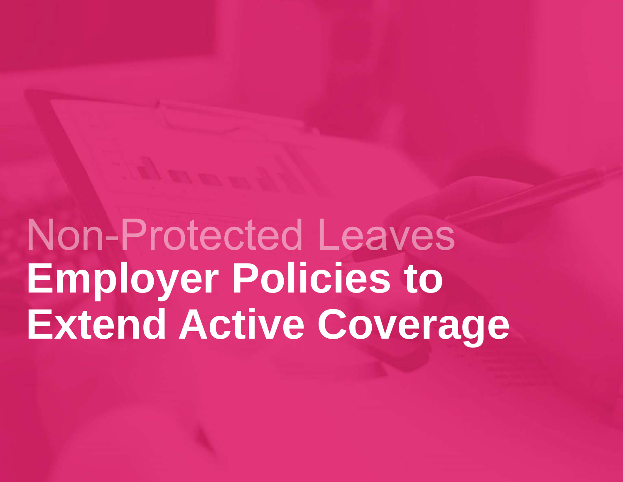Non-Protected Leaves **Employer Policies to Extend Active Coverage**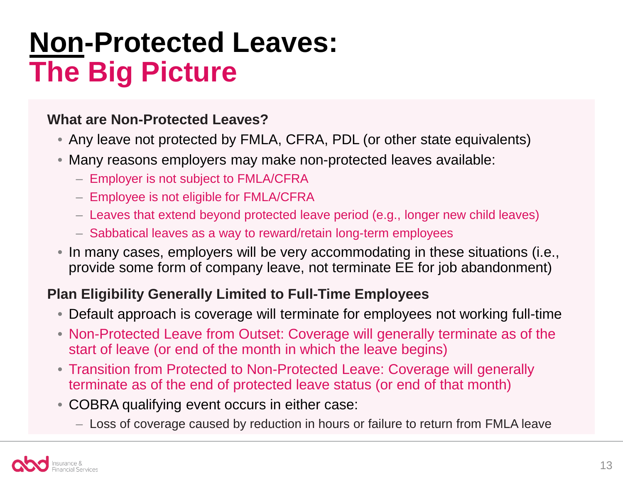## **Non-Protected Leaves: The Big Picture**

### **What are Non-Protected Leaves?**

- Any leave not protected by FMLA, CFRA, PDL (or other state equivalents)
- Many reasons employers may make non-protected leaves available:
	- Employer is not subject to FMLA/CFRA
	- Employee is not eligible for FMLA/CFRA
	- Leaves that extend beyond protected leave period (e.g., longer new child leaves)
	- Sabbatical leaves as a way to reward/retain long-term employees
- In many cases, employers will be very accommodating in these situations (i.e., provide some form of company leave, not terminate EE for job abandonment)

### **Plan Eligibility Generally Limited to Full-Time Employees**

- Default approach is coverage will terminate for employees not working full-time
- Non-Protected Leave from Outset: Coverage will generally terminate as of the start of leave (or end of the month in which the leave begins)
- Transition from Protected to Non-Protected Leave: Coverage will generally terminate as of the end of protected leave status (or end of that month)
- COBRA qualifying event occurs in either case:
	- Loss of coverage caused by reduction in hours or failure to return from FMLA leave

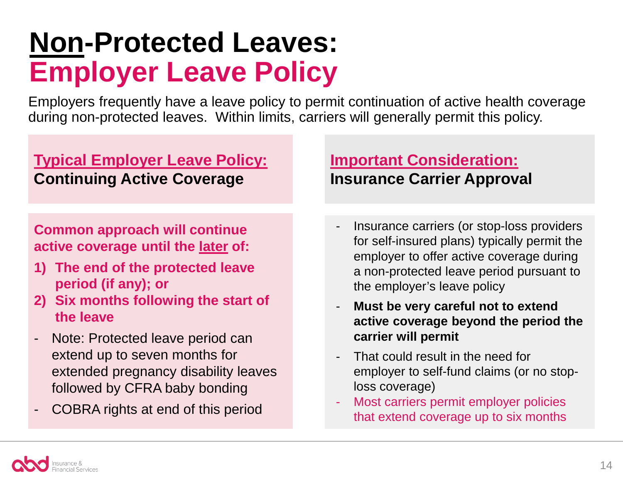## **Non-Protected Leaves: Employer Leave Policy**

Employers frequently have a leave policy to permit continuation of active health coverage during non-protected leaves. Within limits, carriers will generally permit this policy.

### **Typical Employer Leave Policy: Continuing Active Coverage**

### **Common approach will continue active coverage until the later of:**

- **1) The end of the protected leave period (if any); or**
- **2) Six months following the start of the leave**
- Note: Protected leave period can extend up to seven months for extended pregnancy disability leaves followed by CFRA baby bonding
- COBRA rights at end of this period

### **Important Consideration: Insurance Carrier Approval**

- Insurance carriers (or stop-loss providers for self-insured plans) typically permit the employer to offer active coverage during a non-protected leave period pursuant to the employer's leave policy
- **Must be very careful not to extend active coverage beyond the period the carrier will permit**
- That could result in the need for employer to self-fund claims (or no stoploss coverage)
- Most carriers permit employer policies that extend coverage up to six months

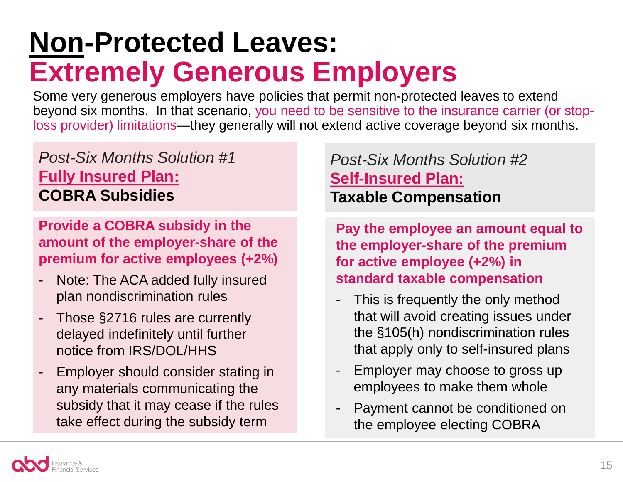## **Non-Protected Leaves: Extremely Generous Employers**

Some very generous employers have policies that permit non-protected leaves to extend beyond six months. In that scenario, you need to be sensitive to the insurance carrier (or stoploss provider) limitations—they generally will not extend active coverage beyond six months.

### *Post-Six Months Solution #1* **Fully Insured Plan: COBRA Subsidies**

**Provide a COBRA subsidy in the amount of the employer-share of the premium for active employees (+2%)**

- Note: The ACA added fully insured plan nondiscrimination rules
- Those §2716 rules are currently delayed indefinitely until further notice from IRS/DOL/HHS
- Employer should consider stating in any materials communicating the subsidy that it may cease if the rules take effect during the subsidy term

### *Post-Six Months Solution #2* **Self-Insured Plan: Taxable Compensation**

**Pay the employee an amount equal to the employer-share of the premium for active employee (+2%) in standard taxable compensation**

- This is frequently the only method that will avoid creating issues under the §105(h) nondiscrimination rules that apply only to self-insured plans
- Employer may choose to gross up employees to make them whole
- Payment cannot be conditioned on the employee electing COBRA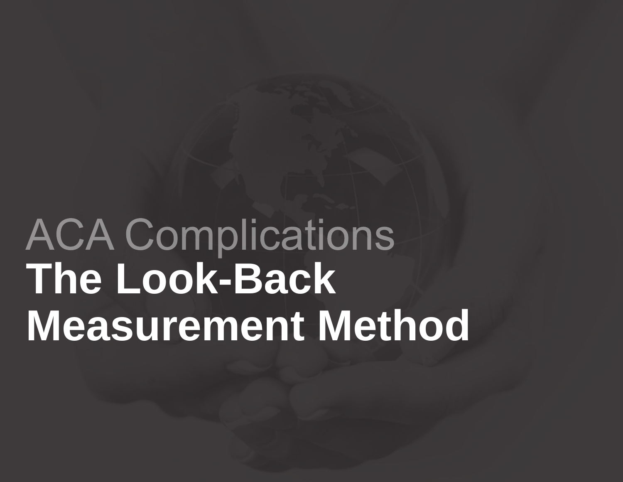# **ACA Complications The Look-Back Measurement Method**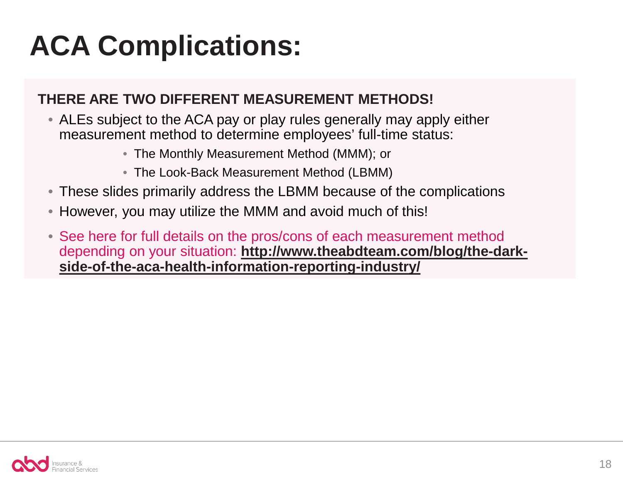## **ACA Complications:**

### **THERE ARE TWO DIFFERENT MEASUREMENT METHODS!**

- ALEs subject to the ACA pay or play rules generally may apply either measurement method to determine employees' full-time status:
	- The Monthly Measurement Method (MMM); or
	- The Look-Back Measurement Method (LBMM)
- These slides primarily address the LBMM because of the complications
- However, you may utilize the MMM and avoid much of this!
- See here for full details on the pros/cons of each measurement method depending on your situation: **http://www.theabdteam.com/blog/the-dark[side-of-the-aca-health-information-reporting-industry/](http://www.theabdteam.com/blog/the-dark-side-of-the-aca-health-information-reporting-industry/)**

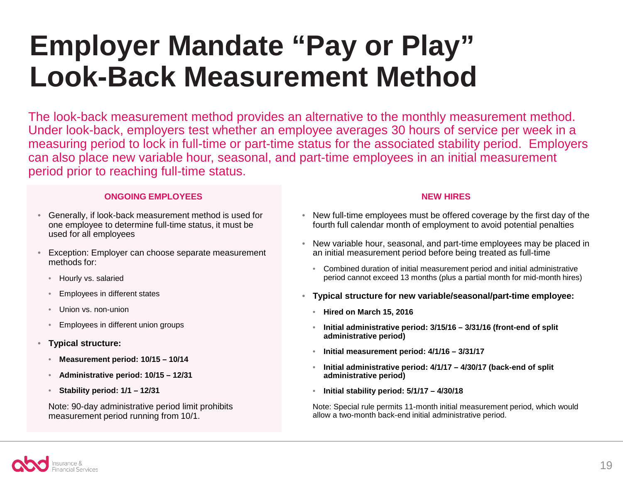## **Employer Mandate "Pay or Play" Look-Back Measurement Method**

The look-back measurement method provides an alternative to the monthly measurement method. Under look-back, employers test whether an employee averages 30 hours of service per week in a measuring period to lock in full-time or part-time status for the associated stability period. Employers can also place new variable hour, seasonal, and part-time employees in an initial measurement period prior to reaching full-time status.

#### **ONGOING EMPLOYEES**

- Generally, if look-back measurement method is used for one employee to determine full-time status, it must be used for all employees
- Exception: Employer can choose separate measurement methods for:
	- Hourly vs. salaried
	- Employees in different states
	- Union vs. non-union
	- Employees in different union groups
- **Typical structure:**
	- **Measurement period: 10/15 – 10/14**
	- **Administrative period: 10/15 – 12/31**
	- **Stability period: 1/1 – 12/31**

Note: 90-day administrative period limit prohibits measurement period running from 10/1.

#### **NEW HIRES**

- New full-time employees must be offered coverage by the first day of the fourth full calendar month of employment to avoid potential penalties
- New variable hour, seasonal, and part-time employees may be placed in an initial measurement period before being treated as full-time
	- Combined duration of initial measurement period and initial administrative period cannot exceed 13 months (plus a partial month for mid-month hires)
- **Typical structure for new variable/seasonal/part-time employee:**
	- **Hired on March 15, 2016**
	- **Initial administrative period: 3/15/16 – 3/31/16 (front-end of split administrative period)**
	- **Initial measurement period: 4/1/16 – 3/31/17**
	- **Initial administrative period: 4/1/17 – 4/30/17 (back-end of split administrative period)**
	- **Initial stability period: 5/1/17 – 4/30/18**

Note: Special rule permits 11-month initial measurement period, which would allow a two-month back-end initial administrative period.

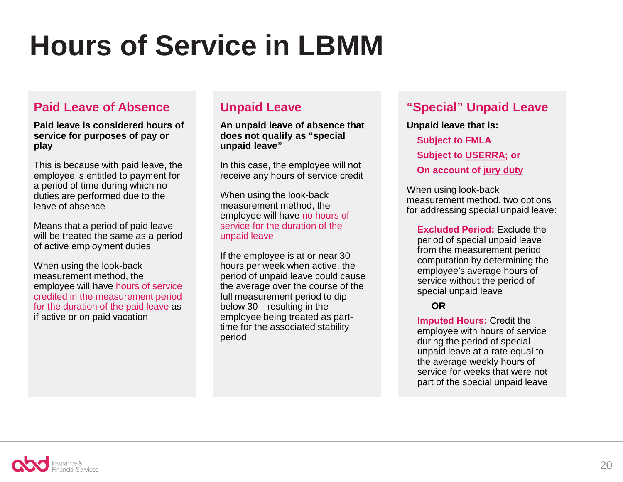## **Hours of Service in LBMM**

#### **Paid Leave of Absence**

**Paid leave is considered hours of service for purposes of pay or play**

This is because with paid leave, the employee is entitled to payment for a period of time during which no duties are performed due to the leave of absence

Means that a period of paid leave will be treated the same as a period of active employment duties

When using the look-back measurement method, the employee will have hours of service credited in the measurement period for the duration of the paid leave as if active or on paid vacation

#### **Unpaid Leave**

**An unpaid leave of absence that does not qualify as "special unpaid leave"**

In this case, the employee will not receive any hours of service credit

When using the look-back measurement method, the employee will have no hours of service for the duration of the unpaid leave

If the employee is at or near 30 hours per week when active, the period of unpaid leave could cause the average over the course of the full measurement period to dip below 30—resulting in the employee being treated as parttime for the associated stability period

#### **"Special" Unpaid Leave**

**Unpaid leave that is: Subject to FMLA Subject to USERRA; or On account of jury duty**

When using look-back measurement method, two options for addressing special unpaid leave:

**Excluded Period:** Exclude the period of special unpaid leave from the measurement period computation by determining the employee's average hours of service without the period of special unpaid leave

#### **OR**

**Imputed Hours:** Credit the employee with hours of service during the period of special unpaid leave at a rate equal to the average weekly hours of service for weeks that were not part of the special unpaid leave

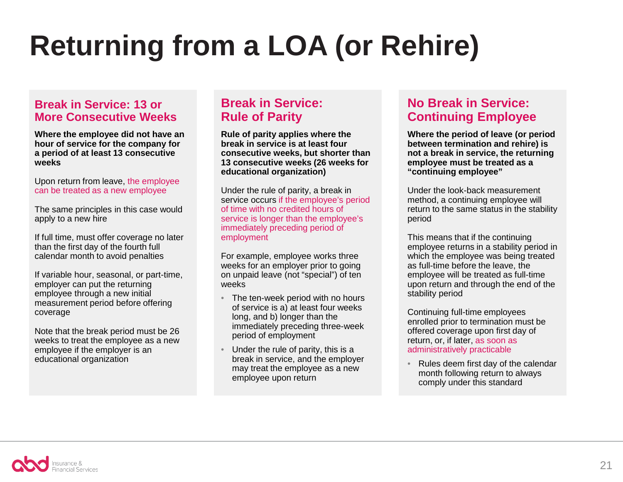## **Returning from a LOA (or Rehire)**

#### **Break in Service: 13 or More Consecutive Weeks**

**Where the employee did not have an hour of service for the company for a period of at least 13 consecutive weeks**

Upon return from leave, the employee can be treated as a new employee

The same principles in this case would apply to a new hire

If full time, must offer coverage no later than the first day of the fourth full calendar month to avoid penalties

If variable hour, seasonal, or part-time, employer can put the returning employee through a new initial measurement period before offering coverage

Note that the break period must be 26 weeks to treat the employee as a new employee if the employer is an educational organization

#### **Break in Service: Rule of Parity**

**Rule of parity applies where the break in service is at least four consecutive weeks, but shorter than 13 consecutive weeks (26 weeks for educational organization)**

Under the rule of parity, a break in service occurs if the employee's period of time with no credited hours of service is longer than the employee's immediately preceding period of employment

For example, employee works three weeks for an employer prior to going on unpaid leave (not "special") of ten weeks

- The ten-week period with no hours of service is a) at least four weeks long, and b) longer than the immediately preceding three-week period of employment
- Under the rule of parity, this is a break in service, and the employer may treat the employee as a new employee upon return

#### **No Break in Service: Continuing Employee**

**Where the period of leave (or period between termination and rehire) is not a break in service, the returning employee must be treated as a "continuing employee"**

Under the look-back measurement method, a continuing employee will return to the same status in the stability period

This means that if the continuing employee returns in a stability period in which the employee was being treated as full-time before the leave, the employee will be treated as full-time upon return and through the end of the stability period

Continuing full-time employees enrolled prior to termination must be offered coverage upon first day of return, or, if later, as soon as administratively practicable

• Rules deem first day of the calendar month following return to always comply under this standard

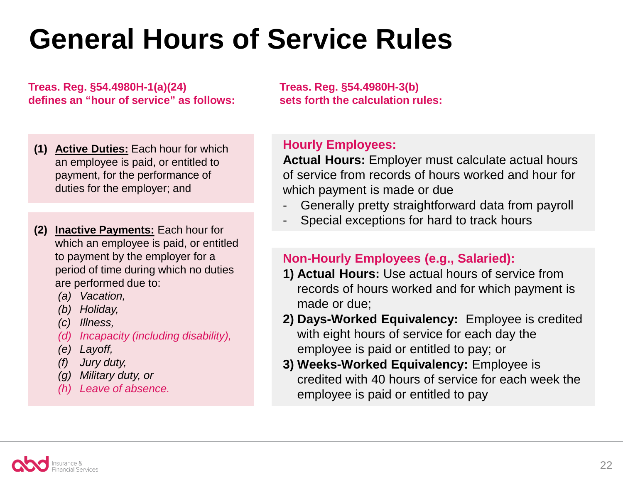## **General Hours of Service Rules**

**Treas. Reg. §54.4980H-1(a)(24) defines an "hour of service" as follows:**

- **(1) Active Duties:** Each hour for which an employee is paid, or entitled to payment, for the performance of duties for the employer; and
- **(2) Inactive Payments:** Each hour for which an employee is paid, or entitled to payment by the employer for a period of time during which no duties are performed due to:
	- *(a) Vacation,*
	- *(b) Holiday,*
	- *(c) Illness,*
	- *(d) Incapacity (including disability),*
	- *(e) Layoff,*
	- *(f) Jury duty,*
	- *(g) Military duty, or*
	- *(h) Leave of absence.*

**Treas. Reg. §54.4980H-3(b) sets forth the calculation rules:**

### **Hourly Employees:**

**Actual Hours:** Employer must calculate actual hours of service from records of hours worked and hour for which payment is made or due

- Generally pretty straightforward data from payroll
- Special exceptions for hard to track hours

#### **Non-Hourly Employees (e.g., Salaried):**

- **1) Actual Hours:** Use actual hours of service from records of hours worked and for which payment is made or due;
- **2) Days-Worked Equivalency:** Employee is credited with eight hours of service for each day the employee is paid or entitled to pay; or
- **3) Weeks-Worked Equivalency:** Employee is credited with 40 hours of service for each week the employee is paid or entitled to pay

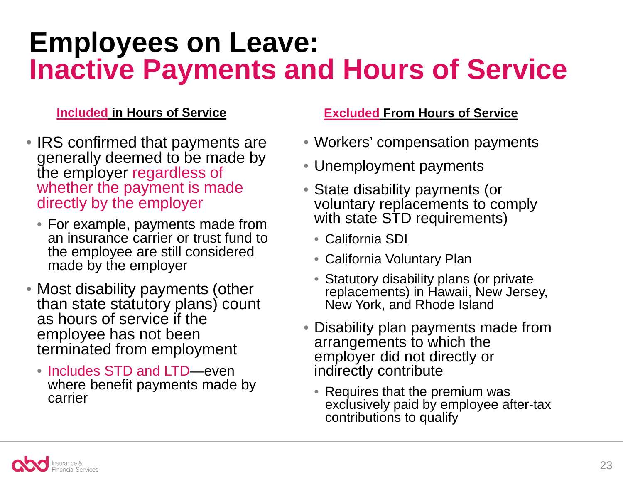### **Employees on Leave: Inactive Payments and Hours of Service**

### **Included in Hours of Service**

- IRS confirmed that payments are generally deemed to be made by the employer regardless of whether the payment is made directly by the employer
	- For example, payments made from an insurance carrier or trust fund to the employee are still considered made by the employer
- Most disability payments (other than state statutory plans) count as hours of service if the employee has not been terminated from employment
	- Includes STD and LTD—even where benefit payments made by carrier

### **Excluded From Hours of Service**

- Workers' compensation payments
- Unemployment payments
- State disability payments (or voluntary replacements to comply with state STD requirements)
	- California SDI
	- California Voluntary Plan
	- Statutory disability plans (or private replacements) in Hawaii, New Jersey, New York, and Rhode Island
- Disability plan payments made from arrangements to which the employer did not directly or indirectly contribute
	- Requires that the premium was exclusively paid by employee after-tax contributions to qualify

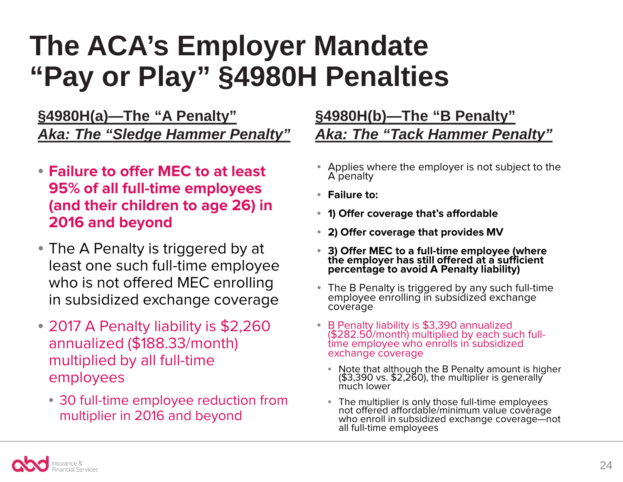## **The ACA's Employer Mandate "Pay or Play" §4980H Penalties**

**§4980H(a)—The "A Penalty"** *Aka: The "Sledge Hammer Penalty"*

- **Failure to offer MEC to at least 95% of all full-time employees (and their children to age 26) in 2016 and beyond**
- The A Penalty is triggered by at least one such full-time employee who is not offered MEC enrolling in subsidized exchange coverage
- 2017 A Penalty liability is \$2,260 annualized (\$188.33/month) multiplied by all full-time employees
	- 30 full-time employee reduction from multiplier in 2016 and beyond

### **§4980H(b)—The "B Penalty"** *Aka: The "Tack Hammer Penalty"*

- Applies where the employer is not subject to the A penalty
- **Failure to:**
- **1) Offer coverage that's affordable**
- **2) Offer coverage that provides MV**
- **3) Offer MEC to a full-time employee (where the employer has still offered at a sufficient percentage to avoid A Penalty liability)**
- The B Penalty is triggered by any such full-time employee enrolling in subsidized exchange coverage
- B Penalty liability is \$3,390 annualized (\$282.50/month) multiplied by each such full- time employee who enrolls in subsidized time employee who enrolls in subsidized<br>exchange coverage
	- Note that although the B Penalty amount is higher (\$3,390 vs. \$2,260), the multiplier is generally much lower
	- The multiplier is only those full-time employees not offered affordable/minimum value coverage who enroll in subsidized exchange coverage—not all full-time employees

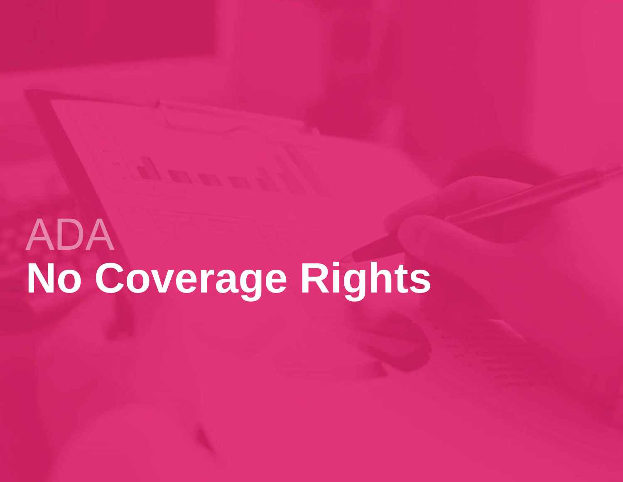# **ADA No Coverage Rights**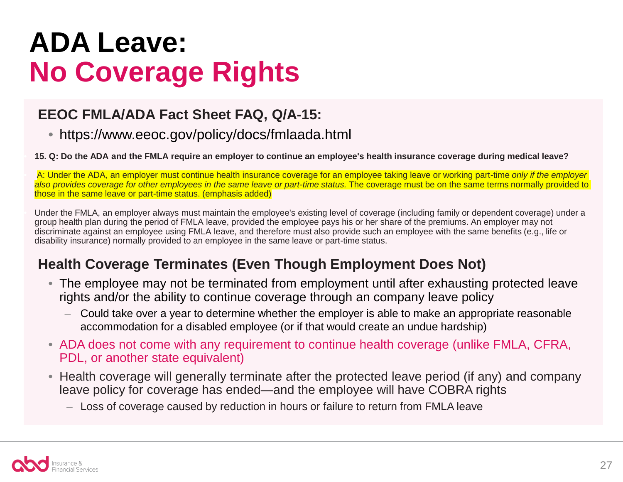## **ADA Leave: No Coverage Rights**

### **EEOC FMLA/ADA Fact Sheet FAQ, Q/A-15:**

• https://www.eeoc.gov/policy/docs/fmlaada.html

• **15. Q: Do the ADA and the FMLA require an employer to continue an employee's health insurance coverage during medical leave?**

• A: Under the ADA, an employer must continue health insurance coverage for an employee taking leave or working part-time *only if the employer also provides coverage for other employees in the same leave or part-time status.* The coverage must be on the same terms normally provided to those in the same leave or part-time status. (emphasis added)

• Under the FMLA, an employer always must maintain the employee's existing level of coverage (including family or dependent coverage) under a group health plan during the period of FMLA leave, provided the employee pays his or her share of the premiums. An employer may not discriminate against an employee using FMLA leave, and therefore must also provide such an employee with the same benefits (e.g., life or disability insurance) normally provided to an employee in the same leave or part-time status.

### **Health Coverage Terminates (Even Though Employment Does Not)**

- The employee may not be terminated from employment until after exhausting protected leave rights and/or the ability to continue coverage through an company leave policy
	- Could take over a year to determine whether the employer is able to make an appropriate reasonable accommodation for a disabled employee (or if that would create an undue hardship)
- ADA does not come with any requirement to continue health coverage (unlike FMLA, CFRA, PDL, or another state equivalent)
- Health coverage will generally terminate after the protected leave period (if any) and company leave policy for coverage has ended—and the employee will have COBRA rights
	- Loss of coverage caused by reduction in hours or failure to return from FMLA leave

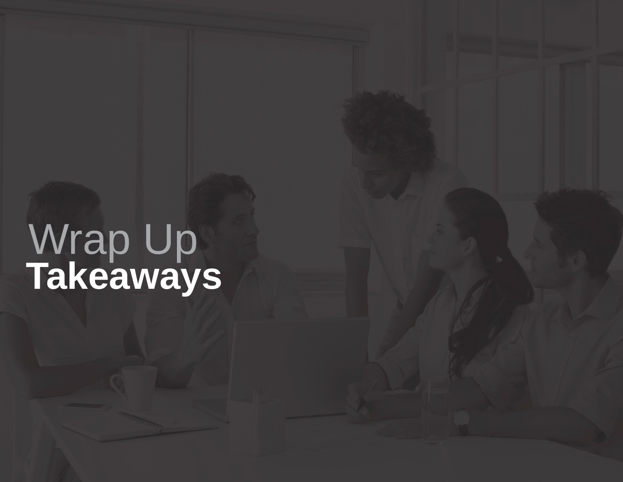## **Takeaways** Wrap Up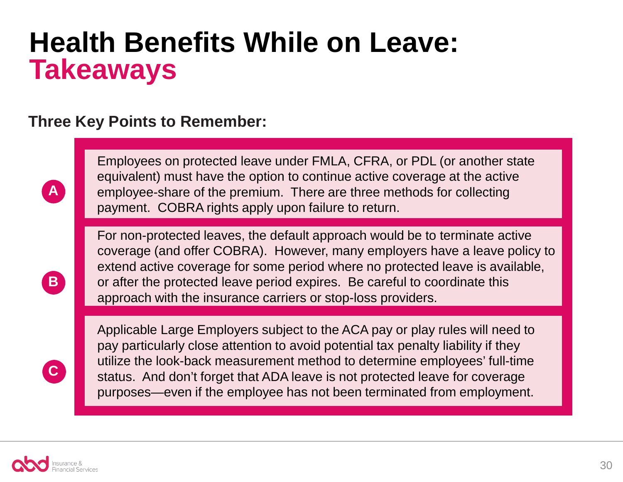### **Health Benefits While on Leave: Takeaways**

### **Three Key Points to Remember:**

Employees on protected leave under FMLA, CFRA, or PDL (or another state equivalent) must have the option to continue active coverage at the active employee-share of the premium. There are three methods for collecting payment. COBRA rights apply upon failure to return.

For non-protected leaves, the default approach would be to terminate active coverage (and offer COBRA). However, many employers have a leave policy to extend active coverage for some period where no protected leave is available, or after the protected leave period expires. Be careful to coordinate this approach with the insurance carriers or stop-loss providers.

Applicable Large Employers subject to the ACA pay or play rules will need to pay particularly close attention to avoid potential tax penalty liability if they utilize the look-back measurement method to determine employees' full-time status. And don't forget that ADA leave is not protected leave for coverage purposes—even if the employee has not been terminated from employment.



**A**

**B**

**C**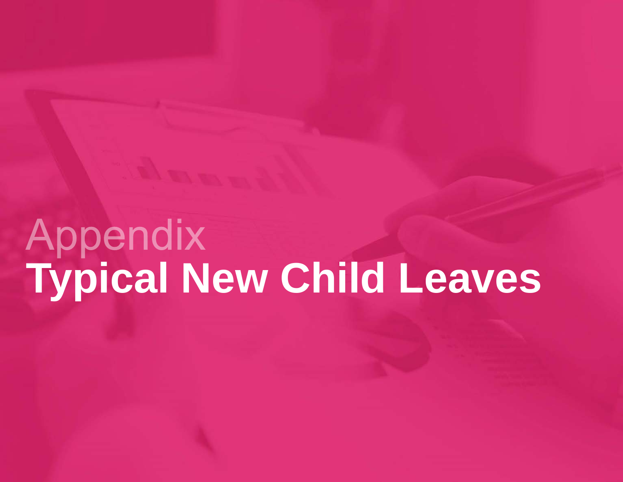# Appendix **Typical New Child Leaves**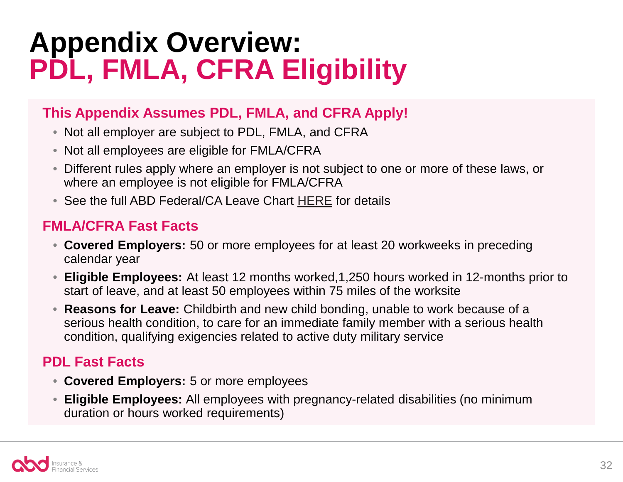## **Appendix Overview: PDL, FMLA, CFRA Eligibility**

### **This Appendix Assumes PDL, FMLA, and CFRA Apply!**

- Not all employer are subject to PDL, FMLA, and CFRA
- Not all employees are eligible for FMLA/CFRA
- Different rules apply where an employer is not subject to one or more of these laws, or where an employee is not eligible for FMLA/CFRA
- See the full ABD Federal/CA Leave Chart [HERE](http://pages.theabdteam.com/rs/abdinsurance/images/Leaves%20-%20Federal%20and%20CA%20leave%20comparison%20-%20revised%202014.pdf) for details

### **FMLA/CFRA Fast Facts**

- **Covered Employers:** 50 or more employees for at least 20 workweeks in preceding calendar year
- **Eligible Employees:** At least 12 months worked,1,250 hours worked in 12-months prior to start of leave, and at least 50 employees within 75 miles of the worksite
- **Reasons for Leave:** Childbirth and new child bonding, unable to work because of a serious health condition, to care for an immediate family member with a serious health condition, qualifying exigencies related to active duty military service

### **PDL Fast Facts**

- **Covered Employers:** 5 or more employees
- **Eligible Employees:** All employees with pregnancy-related disabilities (no minimum duration or hours worked requirements)

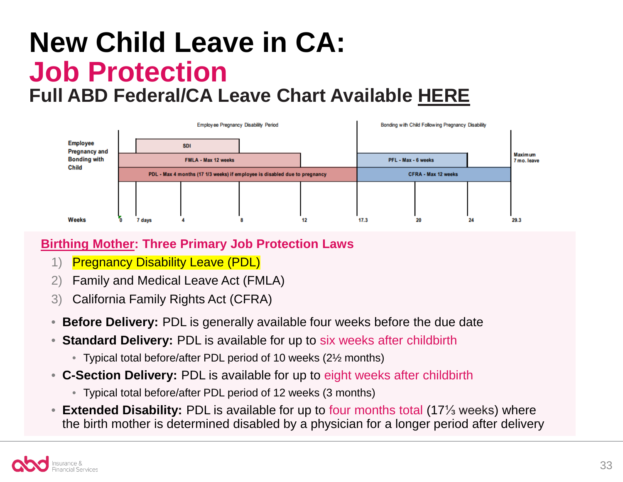### **New Child Leave in CA: Job Protection Full ABD Federal/CA Leave Chart Available [HERE](http://pages.theabdteam.com/rs/abdinsurance/images/Leaves%20-%20Federal%20and%20CA%20leave%20comparison%20-%20revised%202014.pdf)**



### **Birthing Mother: Three Primary Job Protection Laws**

- 1) Pregnancy Disability Leave (PDL)
- 2) Family and Medical Leave Act (FMLA)
- 3) California Family Rights Act (CFRA)
- **Before Delivery:** PDL is generally available four weeks before the due date
- **Standard Delivery:** PDL is available for up to six weeks after childbirth
	- Typical total before/after PDL period of 10 weeks (2½ months)
- **C-Section Delivery:** PDL is available for up to eight weeks after childbirth
	- Typical total before/after PDL period of 12 weeks (3 months)
- **Extended Disability:** PDL is available for up to four months total (17⅓ weeks) where the birth mother is determined disabled by a physician for a longer period after delivery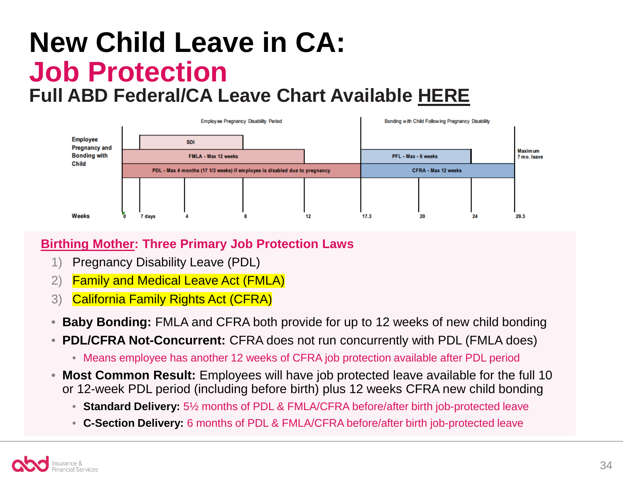### **New Child Leave in CA: Job Protection Full ABD Federal/CA Leave Chart Available [HERE](http://pages.theabdteam.com/rs/abdinsurance/images/Leaves%20-%20Federal%20and%20CA%20leave%20comparison%20-%20revised%202014.pdf)**



### **Birthing Mother: Three Primary Job Protection Laws**

- 1) Pregnancy Disability Leave (PDL)
- 2) Family and Medical Leave Act (FMLA)
- 3) California Family Rights Act (CFRA)
- **Baby Bonding:** FMLA and CFRA both provide for up to 12 weeks of new child bonding
- **PDL/CFRA Not-Concurrent:** CFRA does not run concurrently with PDL (FMLA does)
	- Means employee has another 12 weeks of CFRA job protection available after PDL period
- **Most Common Result:** Employees will have job protected leave available for the full 10 or 12-week PDL period (including before birth) plus 12 weeks CFRA new child bonding
	- **Standard Delivery:** 5½ months of PDL & FMLA/CFRA before/after birth job-protected leave
	- **C-Section Delivery:** 6 months of PDL & FMLA/CFRA before/after birth job-protected leave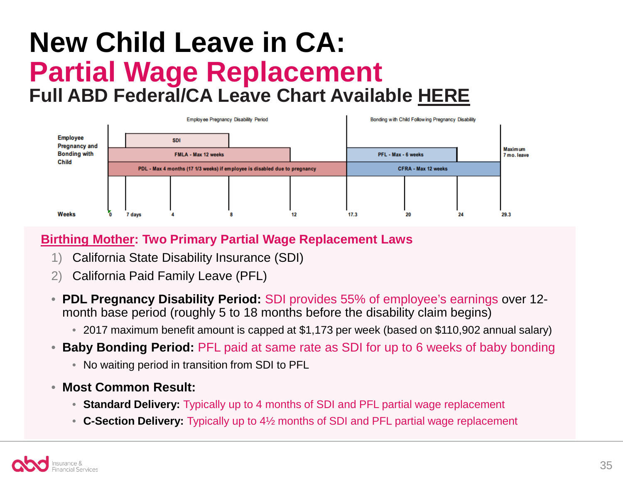### **New Child Leave in CA: Partial Wage Replacement Full ABD Federal/CA Leave Chart Available [HERE](http://pages.theabdteam.com/rs/abdinsurance/images/Leaves%20-%20Federal%20and%20CA%20leave%20comparison%20-%20revised%202014.pdf)**



### **Birthing Mother: Two Primary Partial Wage Replacement Laws**

- 1) California State Disability Insurance (SDI)
- 2) California Paid Family Leave (PFL)
- **PDL Pregnancy Disability Period:** SDI provides 55% of employee's earnings over 12 month base period (roughly 5 to 18 months before the disability claim begins)
	- 2017 maximum benefit amount is capped at \$1,173 per week (based on \$110,902 annual salary)
- **Baby Bonding Period:** PFL paid at same rate as SDI for up to 6 weeks of baby bonding
	- No waiting period in transition from SDI to PFL
- **Most Common Result:**
	- **Standard Delivery:** Typically up to 4 months of SDI and PFL partial wage replacement
	- **C-Section Delivery:** Typically up to 4½ months of SDI and PFL partial wage replacement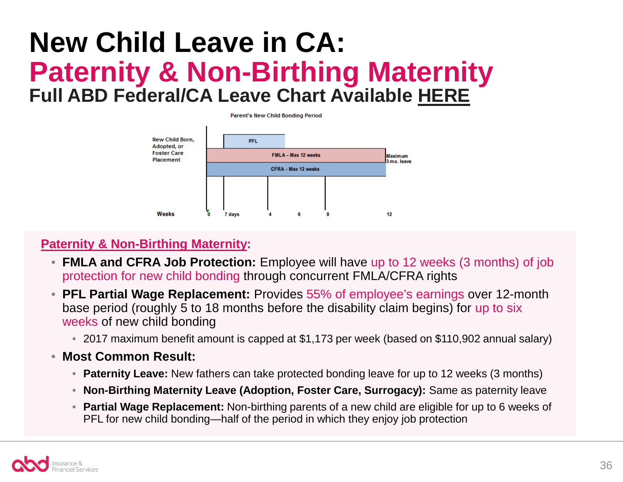### **New Child Leave in CA: Paternity & Non-Birthing Maternity Full ABD Federal/CA Leave Chart Available [HERE](http://pages.theabdteam.com/rs/abdinsurance/images/Leaves%20-%20Federal%20and%20CA%20leave%20comparison%20-%20revised%202014.pdf)**



### **Paternity & Non-Birthing Maternity:**

- **FMLA and CFRA Job Protection:** Employee will have up to 12 weeks (3 months) of job protection for new child bonding through concurrent FMLA/CFRA rights
- **PFL Partial Wage Replacement:** Provides 55% of employee's earnings over 12-month base period (roughly 5 to 18 months before the disability claim begins) for up to six weeks of new child bonding
	- 2017 maximum benefit amount is capped at \$1,173 per week (based on \$110,902 annual salary)
- **Most Common Result:**
	- **Paternity Leave:** New fathers can take protected bonding leave for up to 12 weeks (3 months)
	- **Non-Birthing Maternity Leave (Adoption, Foster Care, Surrogacy):** Same as paternity leave
	- **Partial Wage Replacement:** Non-birthing parents of a new child are eligible for up to 6 weeks of PFL for new child bonding—half of the period in which they enjoy job protection

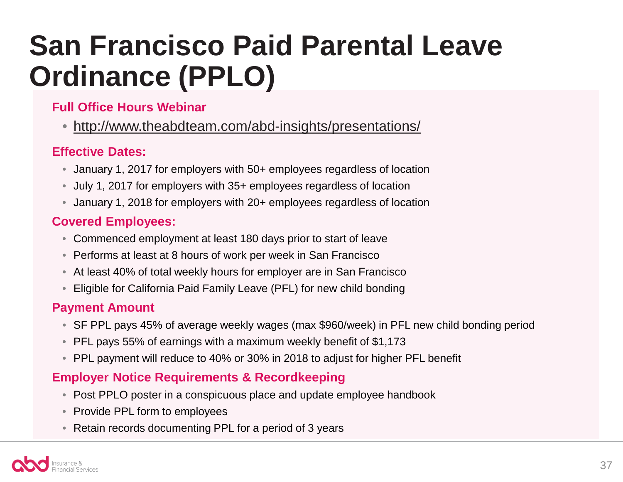## **San Francisco Paid Parental Leave Ordinance (PPLO)**

### **Full Office Hours Webinar**

• <http://www.theabdteam.com/abd-insights/presentations/>

### **Effective Dates:**

- January 1, 2017 for employers with 50+ employees regardless of location
- July 1, 2017 for employers with 35+ employees regardless of location
- January 1, 2018 for employers with 20+ employees regardless of location

### **Covered Employees:**

- Commenced employment at least 180 days prior to start of leave
- Performs at least at 8 hours of work per week in San Francisco
- At least 40% of total weekly hours for employer are in San Francisco
- Eligible for California Paid Family Leave (PFL) for new child bonding

### **Payment Amount**

- SF PPL pays 45% of average weekly wages (max \$960/week) in PFL new child bonding period
- PFL pays 55% of earnings with a maximum weekly benefit of \$1,173
- PPL payment will reduce to 40% or 30% in 2018 to adjust for higher PFL benefit

### **Employer Notice Requirements & Recordkeeping**

- Post PPLO poster in a conspicuous place and update employee handbook
- Provide PPL form to employees
- Retain records documenting PPL for a period of 3 years

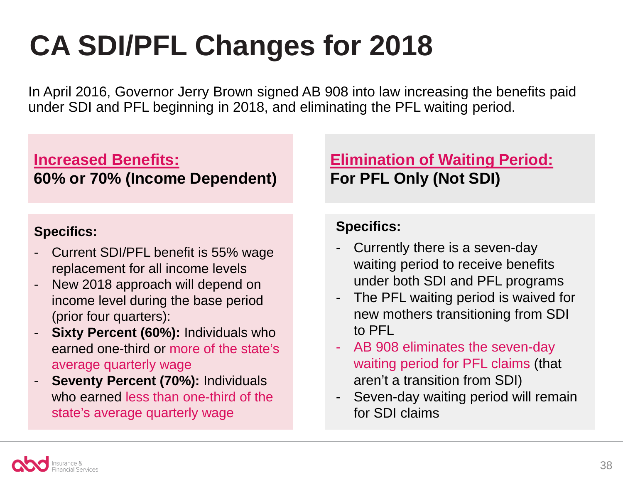## **CA SDI/PFL Changes for 2018**

In April 2016, Governor Jerry Brown signed AB 908 into law increasing the benefits paid under SDI and PFL beginning in 2018, and eliminating the PFL waiting period.

### **Increased Benefits: 60% or 70% (Income Dependent)**

### **Specifics:**

- Current SDI/PFL benefit is 55% wage replacement for all income levels
- New 2018 approach will depend on income level during the base period (prior four quarters):
- **Sixty Percent (60%):** Individuals who earned one-third or more of the state's average quarterly wage
- **Seventy Percent (70%):** Individuals who earned less than one-third of the state's average quarterly wage

### **Elimination of Waiting Period: For PFL Only (Not SDI)**

### **Specifics:**

- Currently there is a seven-day waiting period to receive benefits under both SDI and PFL programs
- The PFL waiting period is waived for new mothers transitioning from SDI to PFL
- AB 908 eliminates the seven-day waiting period for PFL claims (that aren't a transition from SDI)
- Seven-day waiting period will remain for SDI claims

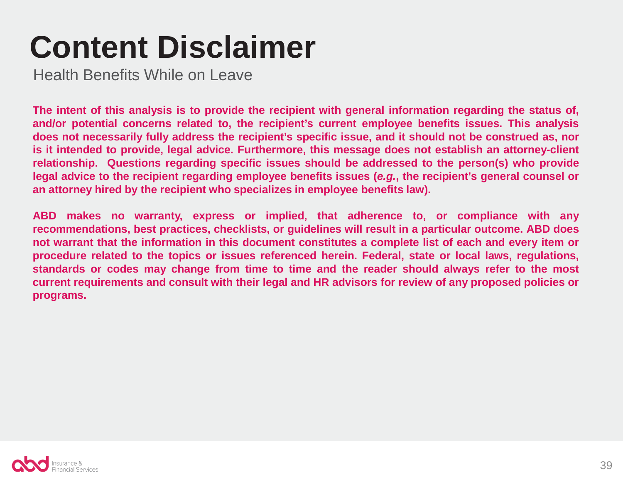## **Content Disclaimer**

Health Benefits While on Leave

**The intent of this analysis is to provide the recipient with general information regarding the status of, and/or potential concerns related to, the recipient's current employee benefits issues. This analysis does not necessarily fully address the recipient's specific issue, and it should not be construed as, nor is it intended to provide, legal advice. Furthermore, this message does not establish an attorney-client relationship. Questions regarding specific issues should be addressed to the person(s) who provide** legal advice to the recipient regarding employee benefits issues (e.g., the recipient's general counsel or **an attorney hired by the recipient who specializes in employee benefits law).**

**ABD makes no warranty, express or implied, that adherence to, or compliance with any recommendations, best practices, checklists, or guidelines will result in a particular outcome. ABD does** not warrant that the information in this document constitutes a complete list of each and every item or **procedure related to the topics or issues referenced herein. Federal, state or local laws, regulations, standards or codes may change from time to time and the reader should always refer to the most current requirements and consult with their legal and HR advisors for review of any proposed policies or programs.**